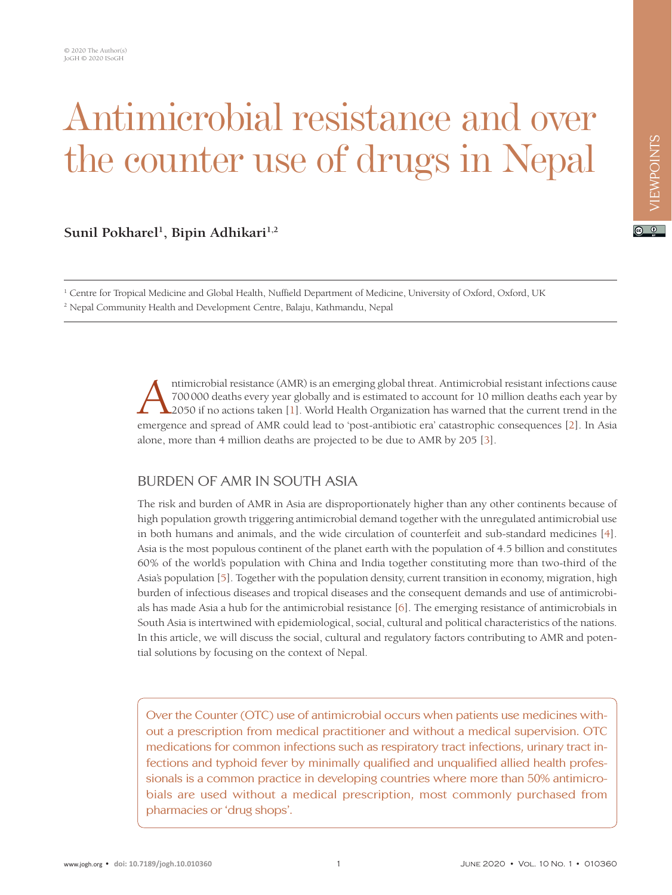# Antimicrobial resistance and over the counter use of drugs in Nepal

# Sunil Pokharel<sup>1</sup>, Bipin Adhikari<sup>1,2</sup>

<sup>1</sup> Centre for Tropical Medicine and Global Health, Nuffield Department of Medicine, University of Oxford, Oxford, UK 2 Nepal Community Health and Development Centre, Balaju, Kathmandu, Nepal

> ntimicrobial resistance (AMR) is an emerging global threat. Antimicrobial resistant infections cause<br>700000 deaths every year globally and is estimated to account for 10 million deaths each year by<br>2050 if no actions taken 700000 deaths every year globally and is estimated to account for 10 million deaths each year by 2050 if no actions taken [1]. World Health Organization has warned that the current trend in the emergence and spread of AMR could lead to 'post-antibiotic era' catastrophic consequences [\[2](#page-2-1)]. In Asia alone, more than 4 million deaths are projected to be due to AMR by 205 [\[3](#page-2-2)].

## BURDEN OF AMR IN SOUTH ASIA

The risk and burden of AMR in Asia are disproportionately higher than any other continents because of high population growth triggering antimicrobial demand together with the unregulated antimicrobial use in both humans and animals, and the wide circulation of counterfeit and sub-standard medicines [[4](#page-2-3)]. Asia is the most populous continent of the planet earth with the population of 4.5 billion and constitutes 60% of the world's population with China and India together constituting more than two-third of the Asia's population [[5\]](#page-2-4). Together with the population density, current transition in economy, migration, high burden of infectious diseases and tropical diseases and the consequent demands and use of antimicrobials has made Asia a hub for the antimicrobial resistance [\[6\]](#page-2-5). The emerging resistance of antimicrobials in South Asia is intertwined with epidemiological, social, cultural and political characteristics of the nations. In this article, we will discuss the social, cultural and regulatory factors contributing to AMR and potential solutions by focusing on the context of Nepal.

Over the Counter (OTC) use of antimicrobial occurs when patients use medicines without a prescription from medical practitioner and without a medical supervision. OTC medications for common infections such as respiratory tract infections, urinary tract infections and typhoid fever by minimally qualified and unqualified allied health professionals is a common practice in developing countries where more than 50% antimicrobials are used without a medical prescription, most commonly purchased from pharmacies or 'drug shops'.

 $\boxed{6}$  0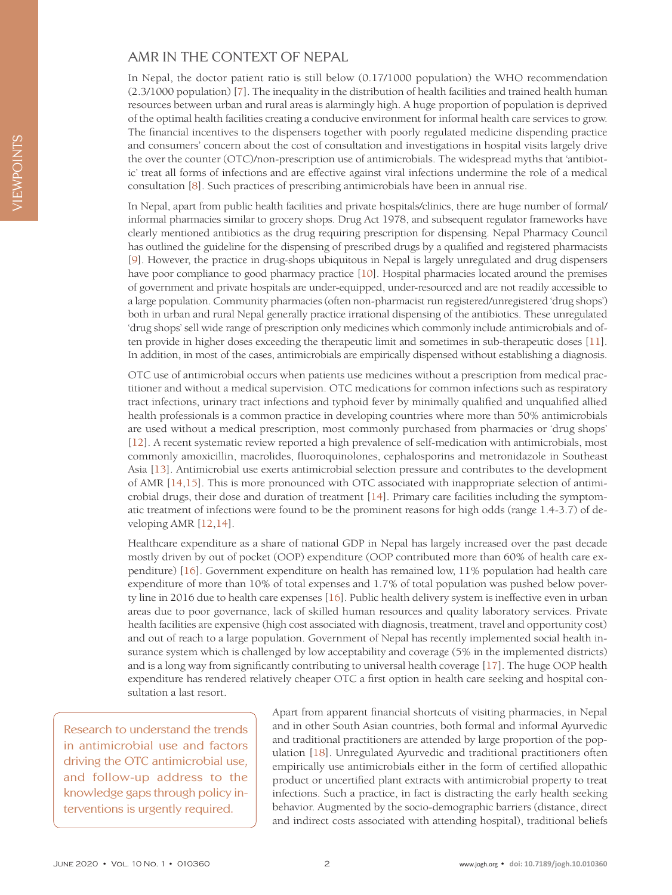## AMR IN THE CONTEXT OF NEPAL

In Nepal, the doctor patient ratio is still below (0.17/1000 population) the WHO recommendation (2.3/1000 population) [\[7\]](#page-2-6). The inequality in the distribution of health facilities and trained health human resources between urban and rural areas is alarmingly high. A huge proportion of population is deprived of the optimal health facilities creating a conducive environment for informal health care services to grow. The financial incentives to the dispensers together with poorly regulated medicine dispending practice and consumers' concern about the cost of consultation and investigations in hospital visits largely drive the over the counter (OTC)/non-prescription use of antimicrobials. The widespread myths that 'antibiotic' treat all forms of infections and are effective against viral infections undermine the role of a medical consultation [\[8](#page-2-7)]. Such practices of prescribing antimicrobials have been in annual rise.

In Nepal, apart from public health facilities and private hospitals/clinics, there are huge number of formal/ informal pharmacies similar to grocery shops. Drug Act 1978, and subsequent regulator frameworks have clearly mentioned antibiotics as the drug requiring prescription for dispensing. Nepal Pharmacy Council has outlined the guideline for the dispensing of prescribed drugs by a qualified and registered pharmacists [[9\]](#page-2-8). However, the practice in drug-shops ubiquitous in Nepal is largely unregulated and drug dispensers have poor compliance to good pharmacy practice [\[10](#page-2-9)]. Hospital pharmacies located around the premises of government and private hospitals are under-equipped, under-resourced and are not readily accessible to a large population. Community pharmacies (often non-pharmacist run registered/unregistered 'drug shops') both in urban and rural Nepal generally practice irrational dispensing of the antibiotics. These unregulated 'drug shops' sell wide range of prescription only medicines which commonly include antimicrobials and often provide in higher doses exceeding the therapeutic limit and sometimes in sub-therapeutic doses [\[11\]](#page-2-10). In addition, in most of the cases, antimicrobials are empirically dispensed without establishing a diagnosis.

OTC use of antimicrobial occurs when patients use medicines without a prescription from medical practitioner and without a medical supervision. OTC medications for common infections such as respiratory tract infections, urinary tract infections and typhoid fever by minimally qualified and unqualified allied health professionals is a common practice in developing countries where more than 50% antimicrobials are used without a medical prescription, most commonly purchased from pharmacies or 'drug shops' [[12](#page-2-11)]. A recent systematic review reported a high prevalence of self-medication with antimicrobials, most commonly amoxicillin, macrolides, fluoroquinolones, cephalosporins and metronidazole in Southeast Asia [[13](#page-2-12)]. Antimicrobial use exerts antimicrobial selection pressure and contributes to the development of AMR [\[14](#page-3-0)[,15](#page-3-1)]. This is more pronounced with OTC associated with inappropriate selection of antimicrobial drugs, their dose and duration of treatment [[14](#page-3-0)]. Primary care facilities including the symptomatic treatment of infections were found to be the prominent reasons for high odds (range 1.4-3.7) of developing AMR [\[12](#page-2-11)[,14](#page-3-0)].

Healthcare expenditure as a share of national GDP in Nepal has largely increased over the past decade mostly driven by out of pocket (OOP) expenditure (OOP contributed more than 60% of health care expenditure) [[16](#page-3-2)]. Government expenditure on health has remained low, 11% population had health care expenditure of more than 10% of total expenses and 1.7% of total population was pushed below poverty line in 2016 due to health care expenses [\[16\]](#page-3-2). Public health delivery system is ineffective even in urban areas due to poor governance, lack of skilled human resources and quality laboratory services. Private health facilities are expensive (high cost associated with diagnosis, treatment, travel and opportunity cost) and out of reach to a large population. Government of Nepal has recently implemented social health insurance system which is challenged by low acceptability and coverage (5% in the implemented districts) and is a long way from significantly contributing to universal health coverage [[17](#page-3-3)]. The huge OOP health expenditure has rendered relatively cheaper OTC a first option in health care seeking and hospital consultation a last resort.

Research to understand the trends in antimicrobial use and factors driving the OTC antimicrobial use, and follow-up address to the knowledge gaps through policy interventions is urgently required.

Apart from apparent financial shortcuts of visiting pharmacies, in Nepal and in other South Asian countries, both formal and informal Ayurvedic and traditional practitioners are attended by large proportion of the population [\[18](#page-3-4)]. Unregulated Ayurvedic and traditional practitioners often empirically use antimicrobials either in the form of certified allopathic product or uncertified plant extracts with antimicrobial property to treat infections. Such a practice, in fact is distracting the early health seeking behavior. Augmented by the socio-demographic barriers (distance, direct and indirect costs associated with attending hospital), traditional beliefs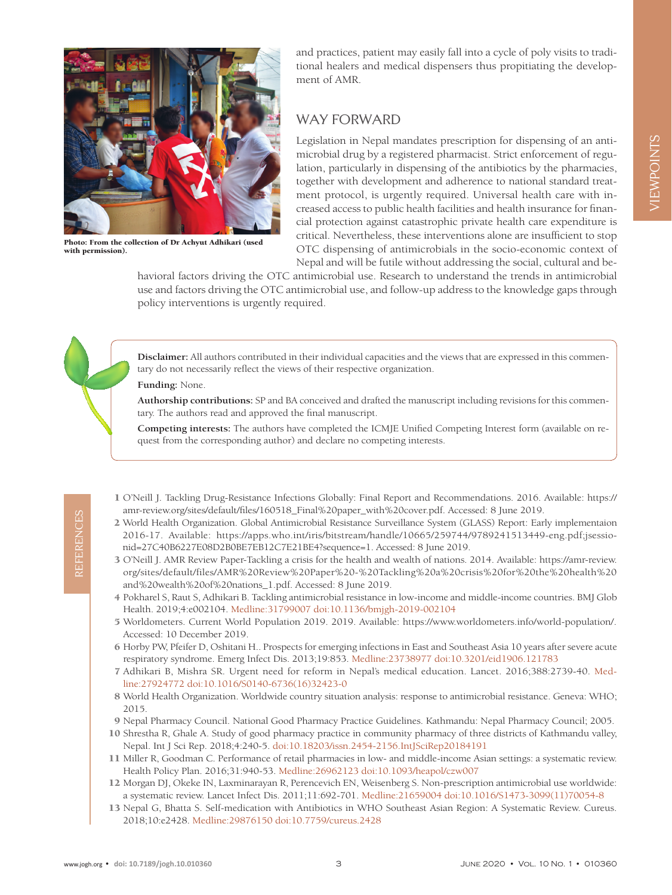

Photo: From the collection of Dr Achyut Adhikari (used with permission).

and practices, patient may easily fall into a cycle of poly visits to traditional healers and medical dispensers thus propitiating the development of AMR.

## WAY FORWARD

Legislation in Nepal mandates prescription for dispensing of an antimicrobial drug by a registered pharmacist. Strict enforcement of regulation, particularly in dispensing of the antibiotics by the pharmacies, together with development and adherence to national standard treatment protocol, is urgently required. Universal health care with increased access to public health facilities and health insurance for financial protection against catastrophic private health care expenditure is critical. Nevertheless, these interventions alone are insufficient to stop OTC dispensing of antimicrobials in the socio-economic context of Nepal and will be futile without addressing the social, cultural and be-

havioral factors driving the OTC antimicrobial use. Research to understand the trends in antimicrobial use and factors driving the OTC antimicrobial use, and follow-up address to the knowledge gaps through policy interventions is urgently required.

**Disclaimer:** All authors contributed in their individual capacities and the views that are expressed in this commentary do not necessarily reflect the views of their respective organization.

### **Funding:** None.

**Authorship contributions:** SP and BA conceived and drafted the manuscript including revisions for this commentary. The authors read and approved the final manuscript.

**Competing interests:** The authors have completed the ICMJE Unified Competing Interest form (available on request from the corresponding author) and declare no competing interests.

- <span id="page-2-0"></span> 1 O'Neill J. Tackling Drug-Resistance Infections Globally: Final Report and Recommendations. 2016. Available: https:// amr-review.org/sites/default/files/160518\_Final%20paper\_with%20cover.pdf. Accessed: 8 June 2019.
- <span id="page-2-1"></span> 2 World Health Organization. Global Antimicrobial Resistance Surveillance System (GLASS) Report: Early implementaion 2016-17. Available: [https://apps.who.int/iris/bitstream/handle/10665/259744/9789241513449-eng.pdf;jsessio](https://apps.who.int/iris/bitstream/handle/10665/259744/9789241513449-eng.pdf;jsessionid=27C40B6227E08D2B0BE7EB12C7E21BE4?sequence=1)[nid=27C40B6227E08D2B0BE7EB12C7E21BE4?sequence=1.](https://apps.who.int/iris/bitstream/handle/10665/259744/9789241513449-eng.pdf;jsessionid=27C40B6227E08D2B0BE7EB12C7E21BE4?sequence=1) Accessed: 8 June 2019.
- <span id="page-2-2"></span> 3 O'Neill J. AMR Review Paper-Tackling a crisis for the health and wealth of nations. 2014. Available: [https://amr-review.](https://amr-review.org/sites/default/files/AMR%20Review%20Paper%20-%20Tackling%20a%20crisis%20for%20the%20health%20and%20wealth%20of%20nations_1.pdf) [org/sites/default/files/AMR%20Review%20Paper%20-%20Tackling%20a%20crisis%20for%20the%20health%20](https://amr-review.org/sites/default/files/AMR%20Review%20Paper%20-%20Tackling%20a%20crisis%20for%20the%20health%20and%20wealth%20of%20nations_1.pdf) [and%20wealth%20of%20nations\\_1.pdf](https://amr-review.org/sites/default/files/AMR%20Review%20Paper%20-%20Tackling%20a%20crisis%20for%20the%20health%20and%20wealth%20of%20nations_1.pdf). Accessed: 8 June 2019.
- <span id="page-2-3"></span> 4 Pokharel S, Raut S, Adhikari B. Tackling antimicrobial resistance in low-income and middle-income countries. BMJ Glob Health. 2019;4:e002104[. Medline:31799007](https://www.ncbi.nlm.nih.gov/entrez/query.fcgi?cmd=Retrieve&db=PubMed&list_uids=31799007&dopt=Abstract) [doi:10.1136/bmjgh-2019-002104](https://doi.org/10.1136/bmjgh-2019-002104)
- <span id="page-2-4"></span> 5 Worldometers. Current World Population 2019. 2019. Available: https://www.worldometers.info/world-population/. Accessed: 10 December 2019.
- <span id="page-2-5"></span> 6 Horby PW, Pfeifer D, Oshitani H.. Prospects for emerging infections in East and Southeast Asia 10 years after severe acute respiratory syndrome. Emerg Infect Dis. 2013;19:853[. Medline:23738977](https://www.ncbi.nlm.nih.gov/entrez/query.fcgi?cmd=Retrieve&db=PubMed&list_uids=23738977&dopt=Abstract) [doi:10.3201/eid1906.121783](https://doi.org/10.3201/eid1906.121783)
- <span id="page-2-6"></span> 7 Adhikari B, Mishra SR. Urgent need for reform in Nepal's medical education. Lancet. 2016;388:2739-40[. Med](https://www.ncbi.nlm.nih.gov/entrez/query.fcgi?cmd=Retrieve&db=PubMed&list_uids=27924772&dopt=Abstract)[line:27924772](https://www.ncbi.nlm.nih.gov/entrez/query.fcgi?cmd=Retrieve&db=PubMed&list_uids=27924772&dopt=Abstract) [doi:10.1016/S0140-6736\(16\)32423-0](https://doi.org/10.1016/S0140-6736(16)32423-0)
- <span id="page-2-7"></span> 8 World Health Organization. Worldwide country situation analysis: response to antimicrobial resistance. Geneva: WHO; 2015.
- <span id="page-2-8"></span>9 Nepal Pharmacy Council. National Good Pharmacy Practice Guidelines. Kathmandu: Nepal Pharmacy Council; 2005.
- <span id="page-2-9"></span>10 Shrestha R, Ghale A. Study of good pharmacy practice in community pharmacy of three districts of Kathmandu valley, Nepal. Int J Sci Rep. 2018;4:240-5. [doi:10.18203/issn.2454-2156.IntJSciRep20184191](https://doi.org/10.18203/issn.2454-2156.IntJSciRep20184191)
- <span id="page-2-10"></span>11 Miller R, Goodman C. Performance of retail pharmacies in low- and middle-income Asian settings: a systematic review. Health Policy Plan. 2016;31:940-53. [Medline:26962123](https://www.ncbi.nlm.nih.gov/entrez/query.fcgi?cmd=Retrieve&db=PubMed&list_uids=26962123&dopt=Abstract) [doi:10.1093/heapol/czw007](https://doi.org/10.1093/heapol/czw007)
- <span id="page-2-11"></span>12 Morgan DJ, Okeke IN, Laxminarayan R, Perencevich EN, Weisenberg S. Non-prescription antimicrobial use worldwide: a systematic review. Lancet Infect Dis. 2011;11:692-701[. Medline:21659004](https://www.ncbi.nlm.nih.gov/entrez/query.fcgi?cmd=Retrieve&db=PubMed&list_uids=21659004&dopt=Abstract) [doi:10.1016/S1473-3099\(11\)70054-8](https://doi.org/10.1016/S1473-3099(11)70054-8)
- <span id="page-2-12"></span>13 Nepal G, Bhatta S. Self-medication with Antibiotics in WHO Southeast Asian Region: A Systematic Review. Cureus. 2018;10:e2428[. Medline:29876150](https://www.ncbi.nlm.nih.gov/entrez/query.fcgi?cmd=Retrieve&db=PubMed&list_uids=29876150&dopt=Abstract) [doi:10.7759/cureus.2428](https://doi.org/10.7759/cureus.2428)